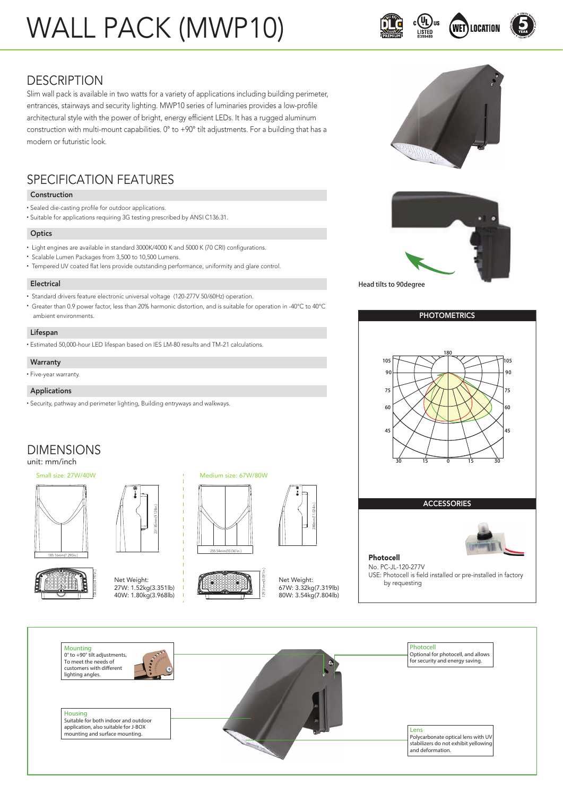# WALL PACK (MWP10)





## **DESCRIPTION**

Slim wall pack is available in two watts for a variety of applications including building perimeter, entrances, stairways and security lighting. MWP10 series of luminaries provides a low-profile architectural style with the power of bright, energy efficient LEDs. It has a rugged aluminum construction with multi-mount capabilities. 0° to +90° tilt adjustments. For a building that has a modern or futuristic look.

## SPECIFICATION FEATURES

### Construction

- Sealed die-casting profile for outdoor applications.
- Suitable for applications requiring 3G testing prescribed by ANSI C136.31.

#### **Optics**

- Light engines are available in standard 3000K/4000 K and 5000 K (70 CRI) configurations.
- Scalable Lumen Packages from 3,500 to 10,500 Lumens.
- Tempered UV coated flat lens provide outstanding performance, uniformity and glare control.

#### Electrical

- Standard drivers feature electronic universal voltage (120-277V 50/60Hz) operation.
- Greater than 0.9 power factor, less than 20% harmonic distortion, and is suitable for operation in -40°C to 40°C ambient environments.

#### Lifespan

• Estimated 50,000-hour LED lifespan based on IES LM-80 results and TM-21 calculations.

#### **Warranty** • Five-year warranty.

#### Applications

• Security, pathway and perimeter lighting, Building entryways and walkways.

### DIMENSIONS unit: mm/inch

### Small size: 27W/40W













Net Weight: 67W: 3.32kg(7.319lb) 80W: 3.54kg(7.804lb)









ACCESSORIES



No. PC-JL-120-277V USE: Photocell is field installed or pre-installed in factory by requesting

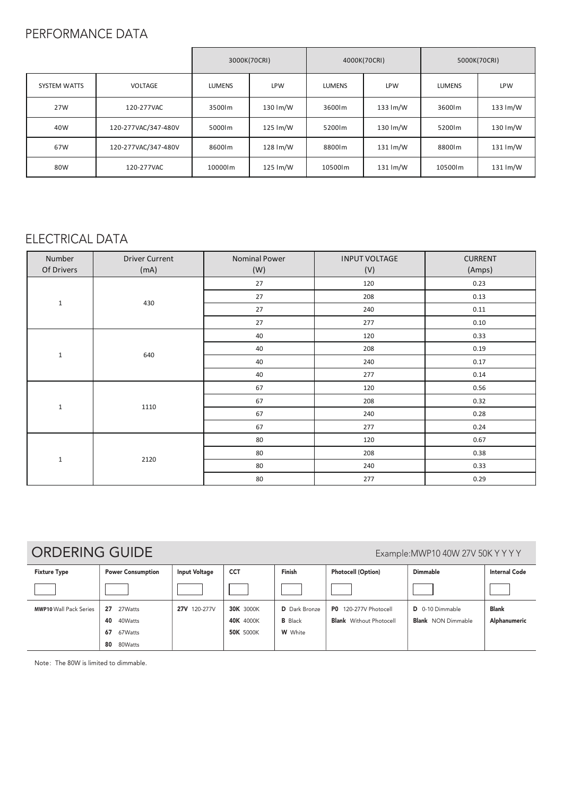## PERFORMANCE DATA

|                     |                     | 3000K(70CRI)  |            | 4000K(70CRI)  |                      | 5000K(70CRI)  |                      |
|---------------------|---------------------|---------------|------------|---------------|----------------------|---------------|----------------------|
| <b>SYSTEM WATTS</b> | VOLTAGE             | <b>LUMENS</b> | <b>LPW</b> | <b>LUMENS</b> | <b>LPW</b>           | <b>LUMENS</b> | <b>LPW</b>           |
| 27W                 | 120-277VAC          | 3500lm        | 130 lm/W   | 3600lm        | 133 lm/W             | 3600lm        | 133 lm/W             |
| 40W                 | 120-277VAC/347-480V | 5000lm        | 125 lm/W   | 5200lm        | 130 lm/W             | 5200lm        | 130 lm/W             |
| 67W                 | 120-277VAC/347-480V | 8600lm        | 128 lm/W   | 8800lm        | $131 \, \text{Im/W}$ | 8800lm        | 131 lm/W             |
| 80W                 | 120-277VAC          | 10000lm       | 125 lm/W   | 10500lm       | 131 lm/W             | 10500lm       | $131 \, \text{Im/W}$ |

## ELECTRICAL DATA

| Number<br>Of Drivers | <b>Driver Current</b><br>(mA) | <b>Nominal Power</b><br>(W) | <b>INPUT VOLTAGE</b><br>(V) | <b>CURRENT</b><br>(Amps) |
|----------------------|-------------------------------|-----------------------------|-----------------------------|--------------------------|
| $1\,$                | 430                           | 27                          | 120                         | 0.23                     |
|                      |                               | 27                          | 208                         | 0.13                     |
|                      |                               | $27\,$                      | 240                         | 0.11                     |
|                      |                               | 27                          | 277                         | 0.10                     |
| $\mathbf{1}$         | 640                           | 40                          | 120                         | 0.33                     |
|                      |                               | 40                          | 208                         | 0.19                     |
|                      |                               | 40                          | 240                         | 0.17                     |
|                      |                               | 40                          | 277                         | 0.14                     |
| $1\,$                | 1110                          | 67                          | 120                         | 0.56                     |
|                      |                               | 67                          | 208                         | 0.32                     |
|                      |                               | 67                          | 240                         | 0.28                     |
|                      |                               | 67                          | 277                         | 0.24                     |
| $\mathbf{1}$         | 2120                          | 80                          | 120                         | 0.67                     |
|                      |                               | 80                          | 208                         | 0.38                     |
|                      |                               | 80                          | 240                         | 0.33                     |
|                      |                               | 80                          | 277                         | 0.29                     |

ORDERING GUIDE Example:MWP10 40W 27V 50K Y YYY

| <b>Fixture Type</b>           | <b>Power Consumption</b> | <b>Input Voltage</b> | <b>CCT</b>       | Finish               | <b>Photocell (Option)</b>      | <b>Dimmable</b>           | <b>Internal Code</b> |
|-------------------------------|--------------------------|----------------------|------------------|----------------------|--------------------------------|---------------------------|----------------------|
|                               |                          |                      |                  |                      |                                |                           |                      |
| <b>MWP10 Wall Pack Series</b> | 27<br>27Watts            | 27V 120-277V         | <b>30K 3000K</b> | <b>D</b> Dark Bronze | PO 120-277V Photocell          | D 0-10 Dimmable           | <b>Blank</b>         |
|                               | 40<br>40Watts            |                      | 40K 4000K        | <b>B</b> Black       | <b>Blank</b> Without Photocell | <b>Blank</b> NON Dimmable | Alphanumeric         |
|                               | 67<br>67Watts            |                      | <b>50K 5000K</b> | <b>W</b> White       |                                |                           |                      |
|                               | 80<br>80Watts            |                      |                  |                      |                                |                           |                      |

Note: The 80W is limited to dimmable.